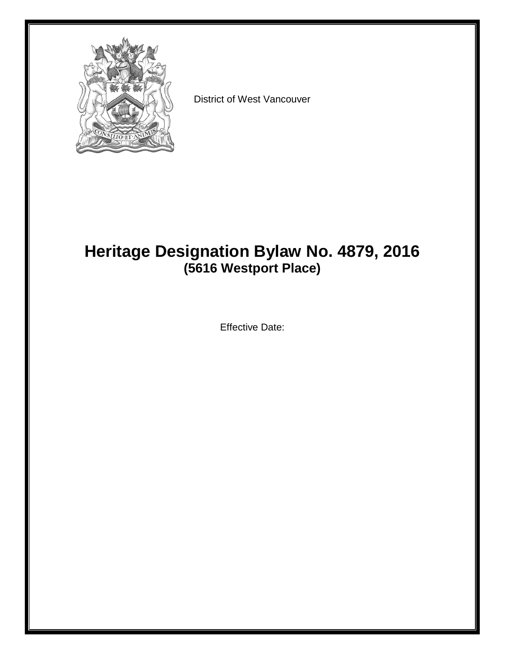

District of West Vancouver

# **Heritage Designation Bylaw No. 4879, 2016 (5616 Westport Place)**

Effective Date: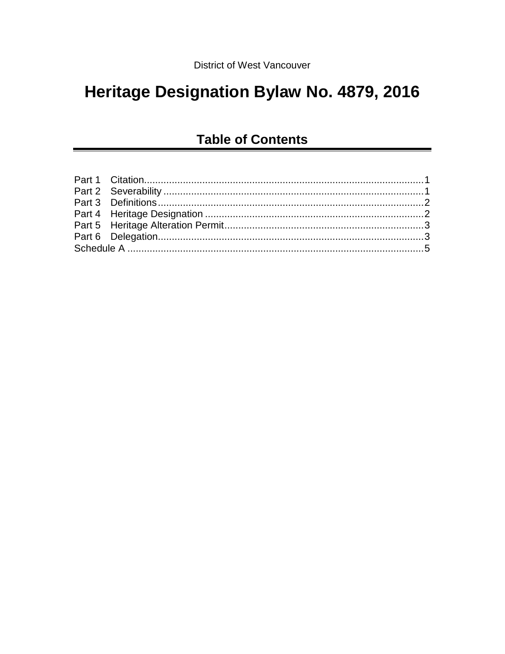# Heritage Designation Bylaw No. 4879, 2016

## **Table of Contents**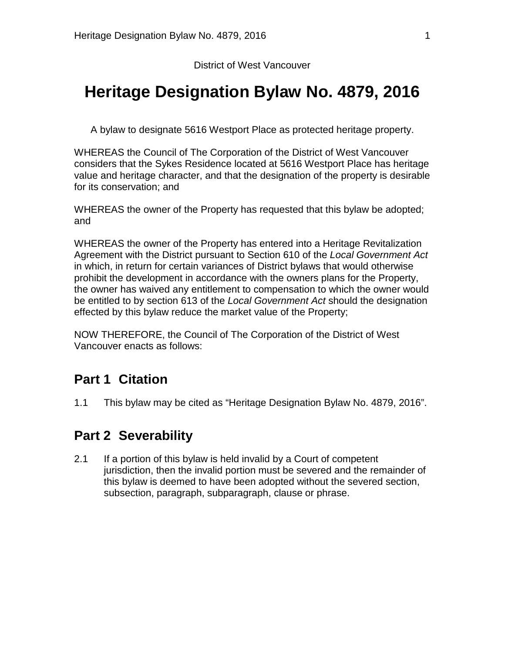District of West Vancouver

# **Heritage Designation Bylaw No. 4879, 2016**

A bylaw to designate 5616 Westport Place as protected heritage property.

WHEREAS the Council of The Corporation of the District of West Vancouver considers that the Sykes Residence located at 5616 Westport Place has heritage value and heritage character, and that the designation of the property is desirable for its conservation; and

WHEREAS the owner of the Property has requested that this bylaw be adopted; and

WHEREAS the owner of the Property has entered into a Heritage Revitalization Agreement with the District pursuant to Section 610 of the *Local Government Act* in which, in return for certain variances of District bylaws that would otherwise prohibit the development in accordance with the owners plans for the Property, the owner has waived any entitlement to compensation to which the owner would be entitled to by section 613 of the *Local Government Act* should the designation effected by this bylaw reduce the market value of the Property;

NOW THEREFORE, the Council of The Corporation of the District of West Vancouver enacts as follows:

### <span id="page-2-0"></span>**Part 1 Citation**

1.1 This bylaw may be cited as "Heritage Designation Bylaw No. 4879, 2016".

### <span id="page-2-1"></span>**Part 2 Severability**

2.1 If a portion of this bylaw is held invalid by a Court of competent jurisdiction, then the invalid portion must be severed and the remainder of this bylaw is deemed to have been adopted without the severed section, subsection, paragraph, subparagraph, clause or phrase.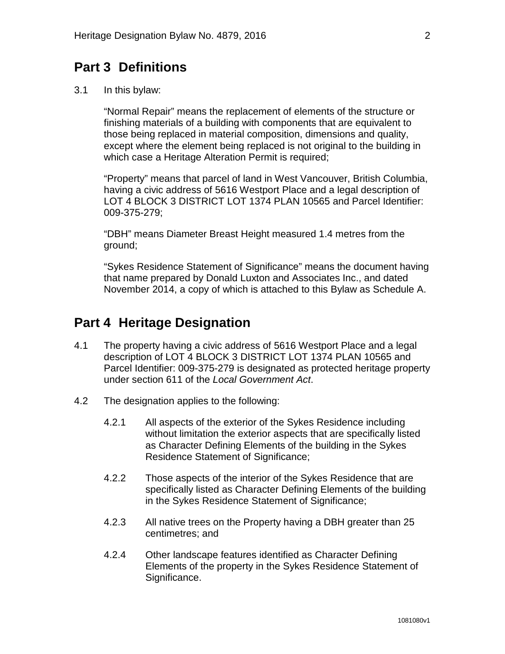### <span id="page-3-0"></span>**Part 3 Definitions**

3.1 In this bylaw:

"Normal Repair" means the replacement of elements of the structure or finishing materials of a building with components that are equivalent to those being replaced in material composition, dimensions and quality, except where the element being replaced is not original to the building in which case a Heritage Alteration Permit is required;

"Property" means that parcel of land in West Vancouver, British Columbia, having a civic address of 5616 Westport Place and a legal description of LOT 4 BLOCK 3 DISTRICT LOT 1374 PLAN 10565 and Parcel Identifier: 009-375-279;

"DBH" means Diameter Breast Height measured 1.4 metres from the ground;

"Sykes Residence Statement of Significance" means the document having that name prepared by Donald Luxton and Associates Inc., and dated November 2014, a copy of which is attached to this Bylaw as Schedule A.

#### <span id="page-3-1"></span>**Part 4 Heritage Designation**

- 4.1 The property having a civic address of 5616 Westport Place and a legal description of LOT 4 BLOCK 3 DISTRICT LOT 1374 PLAN 10565 and Parcel Identifier: 009-375-279 is designated as protected heritage property under section 611 of the *Local Government Act*.
- 4.2 The designation applies to the following:
	- 4.2.1 All aspects of the exterior of the Sykes Residence including without limitation the exterior aspects that are specifically listed as Character Defining Elements of the building in the Sykes Residence Statement of Significance;
	- 4.2.2 Those aspects of the interior of the Sykes Residence that are specifically listed as Character Defining Elements of the building in the Sykes Residence Statement of Significance;
	- 4.2.3 All native trees on the Property having a DBH greater than 25 centimetres; and
	- 4.2.4 Other landscape features identified as Character Defining Elements of the property in the Sykes Residence Statement of Significance.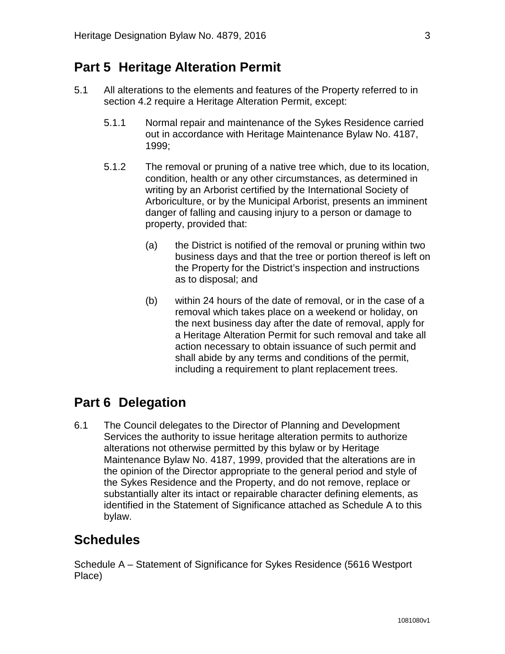### <span id="page-4-0"></span>**Part 5 Heritage Alteration Permit**

- 5.1 All alterations to the elements and features of the Property referred to in section 4.2 require a Heritage Alteration Permit, except:
	- 5.1.1 Normal repair and maintenance of the Sykes Residence carried out in accordance with Heritage Maintenance Bylaw No. 4187, 1999;
	- 5.1.2 The removal or pruning of a native tree which, due to its location, condition, health or any other circumstances, as determined in writing by an Arborist certified by the International Society of Arboriculture, or by the Municipal Arborist, presents an imminent danger of falling and causing injury to a person or damage to property, provided that:
		- (a) the District is notified of the removal or pruning within two business days and that the tree or portion thereof is left on the Property for the District's inspection and instructions as to disposal; and
		- (b) within 24 hours of the date of removal, or in the case of a removal which takes place on a weekend or holiday, on the next business day after the date of removal, apply for a Heritage Alteration Permit for such removal and take all action necessary to obtain issuance of such permit and shall abide by any terms and conditions of the permit, including a requirement to plant replacement trees.

### <span id="page-4-1"></span>**Part 6 Delegation**

6.1 The Council delegates to the Director of Planning and Development Services the authority to issue heritage alteration permits to authorize alterations not otherwise permitted by this bylaw or by Heritage Maintenance Bylaw No. 4187, 1999, provided that the alterations are in the opinion of the Director appropriate to the general period and style of the Sykes Residence and the Property, and do not remove, replace or substantially alter its intact or repairable character defining elements, as identified in the Statement of Significance attached as Schedule A to this bylaw.

### **Schedules**

Schedule A – Statement of Significance for Sykes Residence (5616 Westport Place)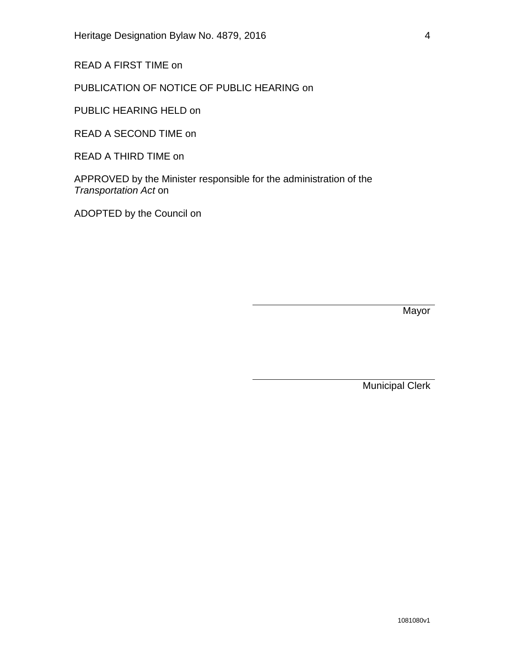READ A FIRST TIME on

PUBLICATION OF NOTICE OF PUBLIC HEARING on

PUBLIC HEARING HELD on

READ A SECOND TIME on

READ A THIRD TIME on

APPROVED by the Minister responsible for the administration of the *Transportation Act* on

ADOPTED by the Council on

Mayor

Municipal Clerk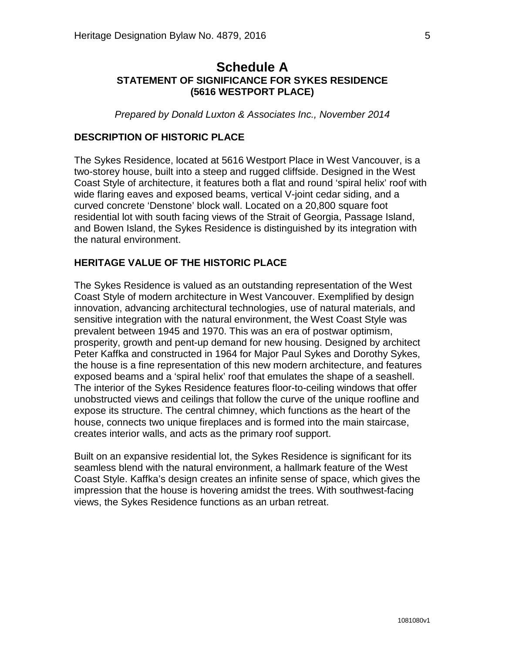#### <span id="page-6-0"></span>**Schedule A STATEMENT OF SIGNIFICANCE FOR SYKES RESIDENCE (5616 WESTPORT PLACE)**

*Prepared by Donald Luxton & Associates Inc., November 2014*

#### **DESCRIPTION OF HISTORIC PLACE**

The Sykes Residence, located at 5616 Westport Place in West Vancouver, is a two-storey house, built into a steep and rugged cliffside. Designed in the West Coast Style of architecture, it features both a flat and round 'spiral helix' roof with wide flaring eaves and exposed beams, vertical V-joint cedar siding, and a curved concrete 'Denstone' block wall. Located on a 20,800 square foot residential lot with south facing views of the Strait of Georgia, Passage Island, and Bowen Island, the Sykes Residence is distinguished by its integration with the natural environment.

#### **HERITAGE VALUE OF THE HISTORIC PLACE**

The Sykes Residence is valued as an outstanding representation of the West Coast Style of modern architecture in West Vancouver. Exemplified by design innovation, advancing architectural technologies, use of natural materials, and sensitive integration with the natural environment, the West Coast Style was prevalent between 1945 and 1970. This was an era of postwar optimism, prosperity, growth and pent-up demand for new housing. Designed by architect Peter Kaffka and constructed in 1964 for Major Paul Sykes and Dorothy Sykes, the house is a fine representation of this new modern architecture, and features exposed beams and a 'spiral helix' roof that emulates the shape of a seashell. The interior of the Sykes Residence features floor-to-ceiling windows that offer unobstructed views and ceilings that follow the curve of the unique roofline and expose its structure. The central chimney, which functions as the heart of the house, connects two unique fireplaces and is formed into the main staircase, creates interior walls, and acts as the primary roof support.

Built on an expansive residential lot, the Sykes Residence is significant for its seamless blend with the natural environment, a hallmark feature of the West Coast Style. Kaffka's design creates an infinite sense of space, which gives the impression that the house is hovering amidst the trees. With southwest-facing views, the Sykes Residence functions as an urban retreat.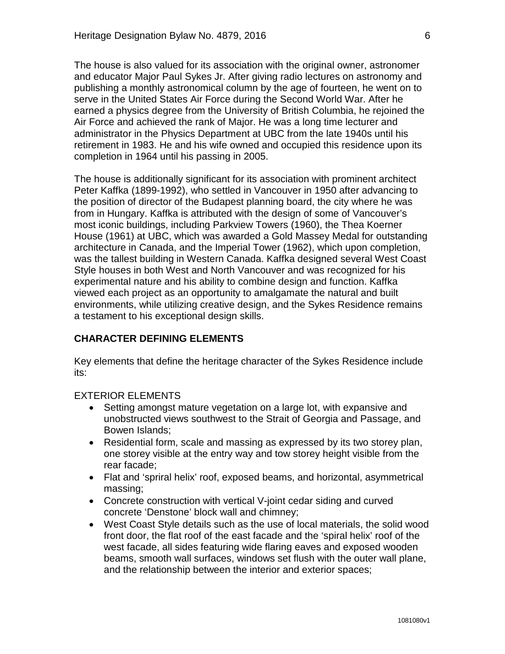The house is also valued for its association with the original owner, astronomer and educator Major Paul Sykes Jr. After giving radio lectures on astronomy and publishing a monthly astronomical column by the age of fourteen, he went on to serve in the United States Air Force during the Second World War. After he earned a physics degree from the University of British Columbia, he rejoined the Air Force and achieved the rank of Major. He was a long time lecturer and administrator in the Physics Department at UBC from the late 1940s until his retirement in 1983. He and his wife owned and occupied this residence upon its completion in 1964 until his passing in 2005.

The house is additionally significant for its association with prominent architect Peter Kaffka (1899-1992), who settled in Vancouver in 1950 after advancing to the position of director of the Budapest planning board, the city where he was from in Hungary. Kaffka is attributed with the design of some of Vancouver's most iconic buildings, including Parkview Towers (1960), the Thea Koerner House (1961) at UBC, which was awarded a Gold Massey Medal for outstanding architecture in Canada, and the Imperial Tower (1962), which upon completion, was the tallest building in Western Canada. Kaffka designed several West Coast Style houses in both West and North Vancouver and was recognized for his experimental nature and his ability to combine design and function. Kaffka viewed each project as an opportunity to amalgamate the natural and built environments, while utilizing creative design, and the Sykes Residence remains a testament to his exceptional design skills.

#### **CHARACTER DEFINING ELEMENTS**

Key elements that define the heritage character of the Sykes Residence include its:

#### EXTERIOR ELEMENTS

- Setting amongst mature vegetation on a large lot, with expansive and unobstructed views southwest to the Strait of Georgia and Passage, and Bowen Islands;
- Residential form, scale and massing as expressed by its two storey plan, one storey visible at the entry way and tow storey height visible from the rear facade;
- Flat and 'spriral helix' roof, exposed beams, and horizontal, asymmetrical massing;
- Concrete construction with vertical V-joint cedar siding and curved concrete 'Denstone' block wall and chimney;
- West Coast Style details such as the use of local materials, the solid wood front door, the flat roof of the east facade and the 'spiral helix' roof of the west facade, all sides featuring wide flaring eaves and exposed wooden beams, smooth wall surfaces, windows set flush with the outer wall plane, and the relationship between the interior and exterior spaces;